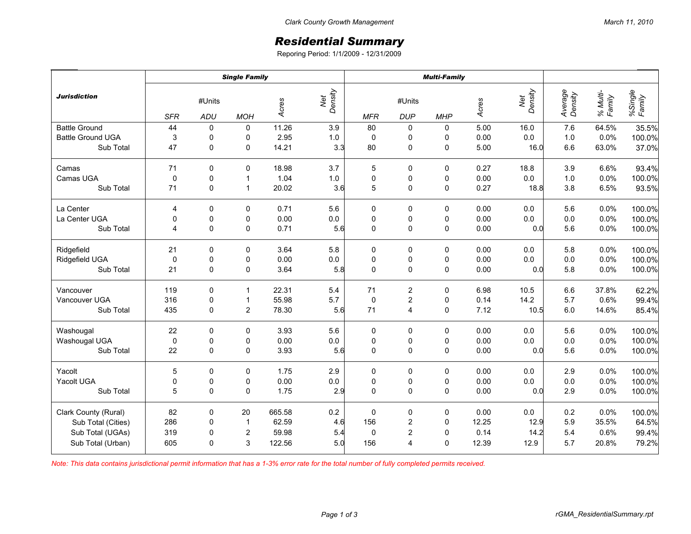## *Residential Summary*

Reporing Period: 1/1/2009 - 12/31/2009

|                          | <b>Single Family</b>               |              |                  |        |                | <b>Multi-Family</b> |                      |             |       |                |                    |                    |                   |
|--------------------------|------------------------------------|--------------|------------------|--------|----------------|---------------------|----------------------|-------------|-------|----------------|--------------------|--------------------|-------------------|
| <b>Jurisdiction</b>      | #Units<br><b>SFR</b><br><b>ADU</b> |              | <b>MOH</b>       | Acres  | Net<br>Density | <b>MFR</b>          | #Units<br><b>DUP</b> | <b>MHP</b>  | Acres | Net<br>Density | Average<br>Density | % Multi-<br>Family | %Single<br>Family |
| <b>Battle Ground</b>     | 44                                 | $\mathbf 0$  | $\mathbf 0$      | 11.26  | 3.9            | 80                  | $\mathbf 0$          | 0           | 5.00  | 16.0           | 7.6                | 64.5%              | 35.5%             |
| <b>Battle Ground UGA</b> | 3                                  | 0            | 0                | 2.95   | $1.0$          | 0                   | 0                    | 0           | 0.00  | $0.0\,$        | 1.0                | 0.0%               | 100.0%            |
| Sub Total                | 47                                 | $\pmb{0}$    | $\pmb{0}$        | 14.21  | 3.3            | 80                  | $\mathsf 0$          | $\pmb{0}$   | 5.00  | 16.0           | 6.6                | 63.0%              | 37.0%             |
| Camas                    | 71                                 | $\mathbf 0$  | $\mathbf 0$      | 18.98  | 3.7            | 5                   | 0                    | 0           | 0.27  | 18.8           | 3.9                | 6.6%               | 93.4%             |
| Camas UGA                | $\mathbf 0$                        | $\pmb{0}$    | $\mathbf{1}$     | 1.04   | $1.0$          | $\mathbf 0$         | 0                    | 0           | 0.00  | 0.0            | $1.0$              | 0.0%               | 100.0%            |
| Sub Total                | 71                                 | $\mathbf 0$  | $\mathbf{1}$     | 20.02  | 3.6            | 5                   | $\pmb{0}$            | $\mathbf 0$ | 0.27  | 18.8           | 3.8                | 6.5%               | 93.5%             |
| La Center                | 4                                  | 0            | $\mathbf 0$      | 0.71   | 5.6            | 0                   | 0                    | 0           | 0.00  | 0.0            | 5.6                | 0.0%               | 100.0%            |
| La Center UGA            | $\pmb{0}$                          | $\pmb{0}$    | 0                | 0.00   | $0.0\,$        | 0                   | $\pmb{0}$            | 0           | 0.00  | 0.0            | $0.0\,$            | 0.0%               | 100.0%            |
| Sub Total                | 4                                  | $\mathbf 0$  | $\mathbf 0$      | 0.71   | 5.6            | $\mathbf 0$         | 0                    | $\mathbf 0$ | 0.00  | 0.0            | 5.6                | 0.0%               | 100.0%            |
| Ridgefield               | 21                                 | 0            | 0                | 3.64   | 5.8            | 0                   | 0                    | 0           | 0.00  | 0.0            | 5.8                | 0.0%               | 100.0%            |
| Ridgefield UGA           | $\mathbf 0$                        | $\pmb{0}$    | 0                | 0.00   | 0.0            | 0                   | 0                    | 0           | 0.00  | 0.0            | $0.0\,$            | 0.0%               | 100.0%            |
| Sub Total                | 21                                 | $\pmb{0}$    | $\pmb{0}$        | 3.64   | 5.8            | $\mathbf 0$         | 0                    | 0           | 0.00  | 0.0            | 5.8                | 0.0%               | 100.0%            |
| Vancouver                | 119                                | 0            | $\mathbf 1$      | 22.31  | 5.4            | 71                  | $\overline{c}$       | 0           | 6.98  | 10.5           | 6.6                | 37.8%              | 62.2%             |
| Vancouver UGA            | 316                                | $\pmb{0}$    | $\overline{1}$   | 55.98  | 5.7            | 0                   | $\boldsymbol{2}$     | 0           | 0.14  | 14.2           | 5.7                | 0.6%               | 99.4%             |
| Sub Total                | 435                                | $\mathbf 0$  | $\overline{2}$   | 78.30  | 5.6            | 71                  | 4                    | $\mathbf 0$ | 7.12  | 10.5           | 6.0                | 14.6%              | 85.4%             |
| Washougal                | 22                                 | $\mathbf 0$  | $\mathbf 0$      | 3.93   | 5.6            | 0                   | 0                    | $\mathbf 0$ | 0.00  | 0.0            | 5.6                | 0.0%               | 100.0%            |
| Washougal UGA            | $\pmb{0}$                          | $\pmb{0}$    | 0                | 0.00   | $0.0\,$        | $\pmb{0}$           | $\pmb{0}$            | 0           | 0.00  | $0.0\,$        | $0.0\,$            | 0.0%               | 100.0%            |
| Sub Total                | 22                                 | $\pmb{0}$    | $\pmb{0}$        | 3.93   | 5.6            | $\mathbf 0$         | 0                    | 0           | 0.00  | 0.0            | 5.6                | 0.0%               | 100.0%            |
| Yacolt                   | 5                                  | 0            | 0                | 1.75   | 2.9            | 0                   | 0                    | 0           | 0.00  | 0.0            | 2.9                | 0.0%               | 100.0%            |
| Yacolt UGA               | $\pmb{0}$                          | $\pmb{0}$    | 0                | 0.00   | $0.0\,$        | $\pmb{0}$           | 0                    | 0           | 0.00  | $0.0\,$        | $0.0\,$            | 0.0%               | 100.0%            |
| Sub Total                | 5                                  | $\Omega$     | $\Omega$         | 1.75   | 2.9            | $\mathbf 0$         | 0                    | $\mathbf 0$ | 0.00  | 0.0            | 2.9                | 0.0%               | 100.0%            |
| Clark County (Rural)     | 82                                 | $\pmb{0}$    | 20               | 665.58 | 0.2            | $\mathbf 0$         | 0                    | 0           | 0.00  | $0.0\,$        | 0.2                | 0.0%               | 100.0%            |
| Sub Total (Cities)       | 286                                | $\pmb{0}$    | $\mathbf{1}$     | 62.59  | 4.6            | 156                 | $\overline{c}$       | $\pmb{0}$   | 12.25 | 12.9           | 5.9                | 35.5%              | 64.5%             |
| Sub Total (UGAs)         | 319                                | $\pmb{0}$    | $\boldsymbol{2}$ | 59.98  | 5.4            | $\mathbf 0$         | $\overline{c}$       | $\mathbf 0$ | 0.14  | 14.2           | 5.4                | 0.6%               | 99.4%             |
| Sub Total (Urban)        | 605                                | $\mathbf{0}$ | 3                | 122.56 | 5.0            | 156                 | 4                    | $\mathbf 0$ | 12.39 | 12.9           | 5.7                | 20.8%              | 79.2%             |

*Note: This data contains jurisdictional permit information that has a 1-3% error rate for the total number of fully completed permits received.*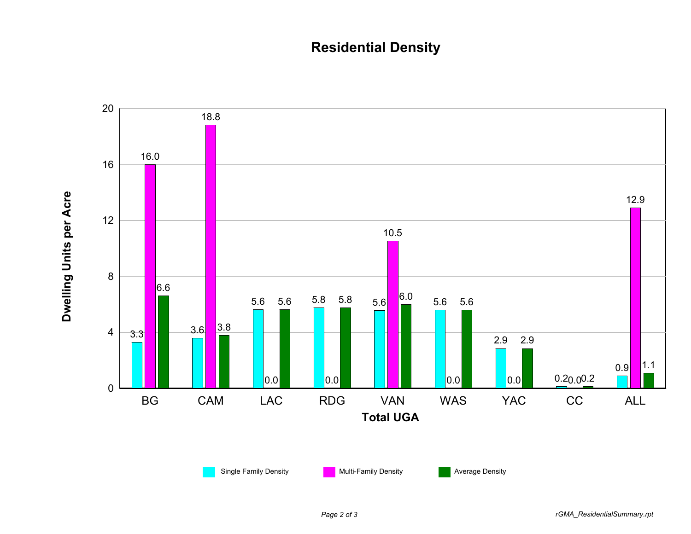## **Residential Density**

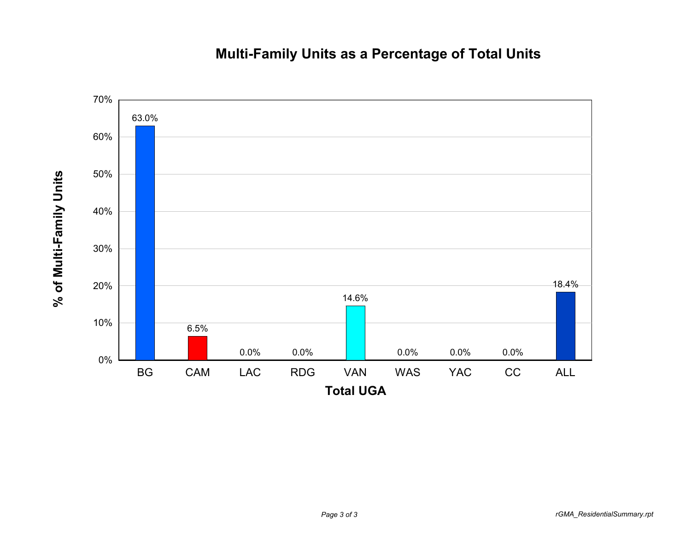## **Multi-Family Units as a Percentage of Total Units**